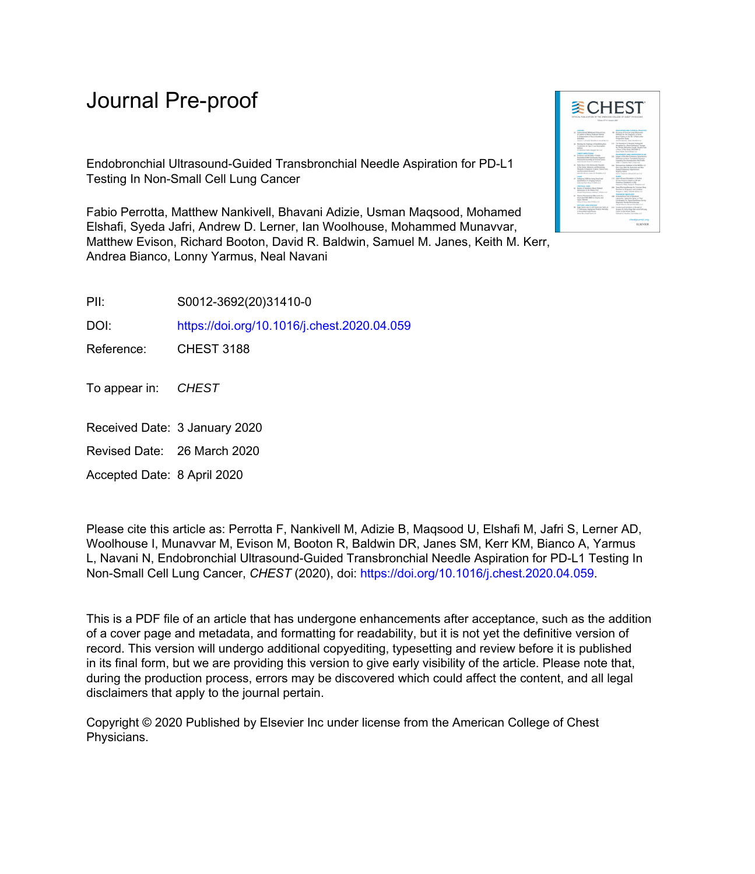# Journal Pre-proof

Endobronchial Ultrasound-Guided Transbronchial Needle Aspiration for PD-L1 Testing In Non-Small Cell Lung Cancer

Fabio Perrotta, Matthew Nankivell, Bhavani Adizie, Usman Maqsood, Mohamed Elshafi, Syeda Jafri, Andrew D. Lerner, Ian Woolhouse, Mohammed Munavvar, Matthew Evison, Richard Booton, David R. Baldwin, Samuel M. Janes, Keith M. Kerr, Andrea Bianco, Lonny Yarmus, Neal Navani

PII: S0012-3692(20)31410-0

DOI: <https://doi.org/10.1016/j.chest.2020.04.059>

Reference: CHEST 3188

To appear in: CHEST

- Received Date: 3 January 2020
- Revised Date: 26 March 2020

Accepted Date: 8 April 2020

Please cite this article as: Perrotta F, Nankivell M, Adizie B, Maqsood U, Elshafi M, Jafri S, Lerner AD, Woolhouse I, Munavvar M, Evison M, Booton R, Baldwin DR, Janes SM, Kerr KM, Bianco A, Yarmus L, Navani N, Endobronchial Ultrasound-Guided Transbronchial Needle Aspiration for PD-L1 Testing In Non-Small Cell Lung Cancer, *CHEST* (2020), doi: [https://doi.org/10.1016/j.chest.2020.04.059.](https://doi.org/10.1016/j.chest.2020.04.059)

This is a PDF file of an article that has undergone enhancements after acceptance, such as the addition of a cover page and metadata, and formatting for readability, but it is not yet the definitive version of record. This version will undergo additional copyediting, typesetting and review before it is published in its final form, but we are providing this version to give early visibility of the article. Please note that, during the production process, errors may be discovered which could affect the content, and all legal disclaimers that apply to the journal pertain.

Copyright © 2020 Published by Elsevier Inc under license from the American College of Chest Physicians.

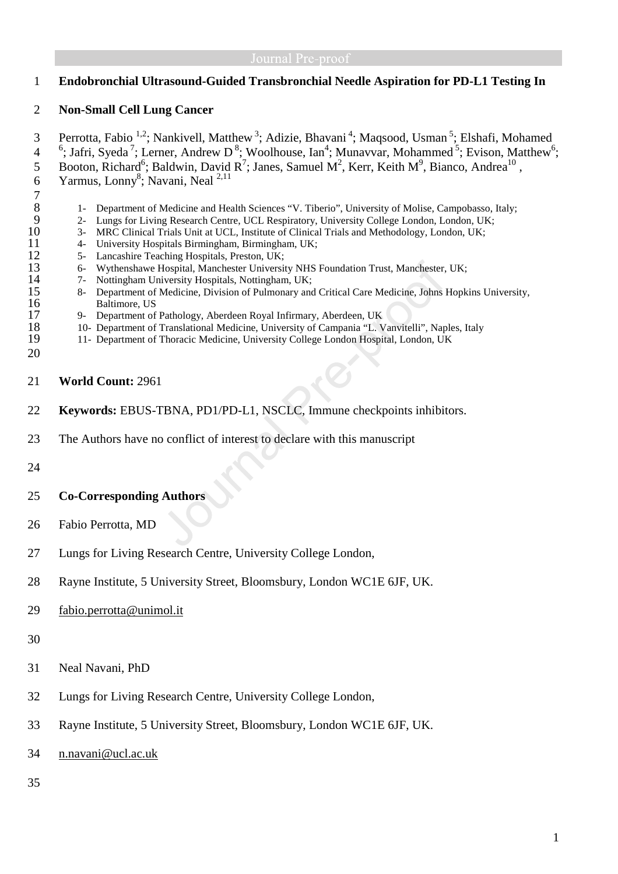## 1 **Endobronchial Ultrasound-Guided Transbronchial Needle Aspiration for PD-L1 Testing In**

## 2 **Non-Small Cell Lung Cancer**

3 Perrotta, Fabio <sup>1,2</sup>; Nankivell, Matthew<sup>3</sup>; Adizie, Bhavani<sup>4</sup>; Maqsood, Usman<sup>5</sup>; Elshafi, Mohamed 4  $\frac{6}{3}$ ; Jafri, Syeda<sup>7</sup>; Lerner, Andrew D<sup>8</sup>; Woolhouse, Ian<sup>4</sup>; Munavvar, Mohammed<sup>5</sup>; Evison, Matthew<sup>6</sup>; 5 Booton, Richard<sup>6</sup>; Baldwin, David R<sup>7</sup>; Janes, Samuel M<sup>2</sup>, Kerr, Keith M<sup>9</sup>, Bianco, Andrea<sup>10</sup>, 6 Yarmus, Lonny<sup>8</sup>; Navani, Neal  $2,11$  $\begin{array}{c} 7 \\ 8 \end{array}$ 8 1- Department of Medicine and Health Sciences "V. Tiberio", University of Molise, Campobasso, Italy;<br>9 2- Lungs for Living Research Centre, UCL Respiratory, University College London, London, UK; 9 2- Lungs for Living Research Centre, UCL Respiratory, University College London, London, UK;<br>10 3- MRC Clinical Trials Unit at UCL, Institute of Clinical Trials and Methodology, London, UK; 10 3- MRC Clinical Trials Unit at UCL, Institute of Clinical Trials and Methodology, London, UK;<br>11 4- University Hospitals Birmingham, Birmingham, UK; 11 4- University Hospitals Birmingham, Birmingham, UK;<br>12 5- Lancashire Teaching Hospitals, Preston, UK; 12 5- Lancashire Teaching Hospitals, Preston, UK;<br>13 6- Wythenshawe Hospital, Manchester Universi 13 6- Wythenshawe Hospital, Manchester University NHS Foundation Trust, Manchester, UK; 14 7- Nottingham University Hospitals, Nottingham, UK; 15 8- Department of Medicine, Division of Pulmonary and Critical Care Medicine, Johns Hopkins University, 16 Baltimore, US<br>17 9- Department of 17 9- Department of Pathology, Aberdeen Royal Infirmary, Aberdeen, UK<br>18 10- Department of Translational Medicine, University of Campania "L. V 18 10- Department of Translational Medicine, University of Campania "L. Vanvitelli", Naples, Italy<br>19 11- Department of Thoracic Medicine, University College London Hospital, London, UK 19 11- Department of Thoracic Medicine, University College London Hospital, London, UK 20 21 **World Count:** 2961 22 **Keywords:** EBUS-TBNA, PD1/PD-L1, NSCLC, Immune checkpoints inhibitors. 23 The Authors have no conflict of interest to declare with this manuscript 24 25 **Co-Corresponding Authors** 

- 26 Fabio Perrotta, MD
- 27 Lungs for Living Research Centre, University College London,
- 28 Rayne Institute, 5 University Street, Bloomsbury, London WC1E 6JF, UK.
- 29 fabio.perrotta@unimol.it
- 30
- 31 Neal Navani, PhD
- 32 Lungs for Living Research Centre, University College London,
- 33 Rayne Institute, 5 University Street, Bloomsbury, London WC1E 6JF, UK.
- 34 n.navani@ucl.ac.uk
- 35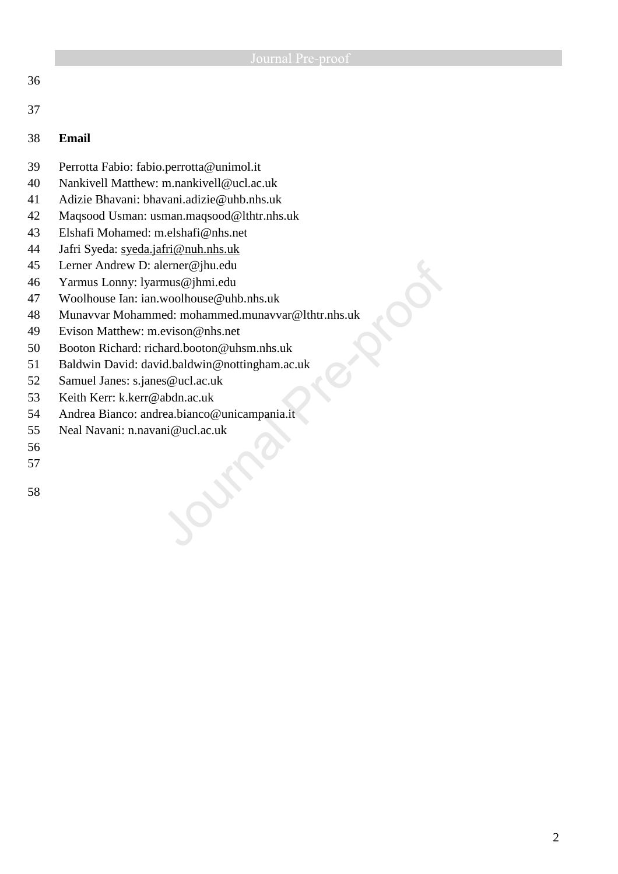|    | Journal Pre-proof                                 |
|----|---------------------------------------------------|
| 36 |                                                   |
| 37 |                                                   |
| 38 | <b>Email</b>                                      |
| 39 | Perrotta Fabio: fabio.perrotta@unimol.it          |
| 40 | Nankivell Matthew: m.nankivell@ucl.ac.uk          |
| 41 | Adizie Bhavani: bhavani.adizie@uhb.nhs.uk         |
| 42 | Maqsood Usman: usman.maqsood@lthtr.nhs.uk         |
| 43 | Elshafi Mohamed: m.elshafi@nhs.net                |
| 44 | Jafri Syeda: syeda.jafri@nuh.nhs.uk               |
| 45 | Lerner Andrew D: alerner@jhu.edu                  |
| 46 | Yarmus Lonny: lyarmus@jhmi.edu                    |
| 47 | Woolhouse Ian: ian.woolhouse@uhb.nhs.uk           |
| 48 | Munavvar Mohammed: mohammed.munavvar@lthtr.nhs.uk |
| 49 | Evison Matthew: m.evison@nhs.net                  |
| 50 | Booton Richard: richard.booton@uhsm.nhs.uk        |

 $\boldsymbol{\mathcal{C}}$ 

- 51 Baldwin David: david.baldwin@nottingham.ac.uk
- 52 Samuel Janes: s.janes@ucl.ac.uk
- 53 Keith Kerr: k.kerr@abdn.ac.uk
- 54 Andrea Bianco: andrea.bianco@unicampania.it

over

- 55 Neal Navani: n.navani@ucl.ac.uk
- 56
- 57
- 58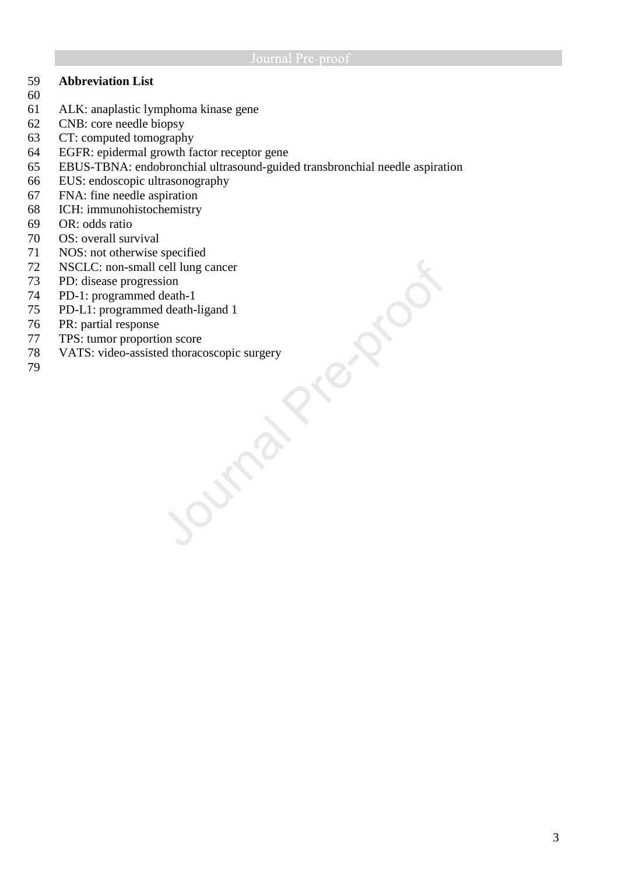czzlo

## 59 **Abbreviation List**

- 60
- 61 ALK: anaplastic lymphoma kinase gene
- 62 CNB: core needle biopsy
- 63 CT: computed tomography
- 64 EGFR: epidermal growth factor receptor gene
- 65 EBUS-TBNA: endobronchial ultrasound-guided transbronchial needle aspiration
- 66 EUS: endoscopic ultrasonography
- 67 FNA: fine needle aspiration
- 68 ICH: immunohistochemistry<br>69 OR: odds ratio
- 69 OR: odds ratio<br>70 OS: overall sur
- OS: overall survival
- 71 NOS: not otherwise specified
- 72 NSCLC: non-small cell lung cancer
- 73 PD: disease progression
- 74 PD-1: programmed death-1
- 75 PD-L1: programmed death-ligand 1
- 76 PR: partial response<br>77 TPS: tumor proportion
- 77 TPS: tumor proportion score
- 78 VATS: video-assisted thoracoscopic surgery
- 79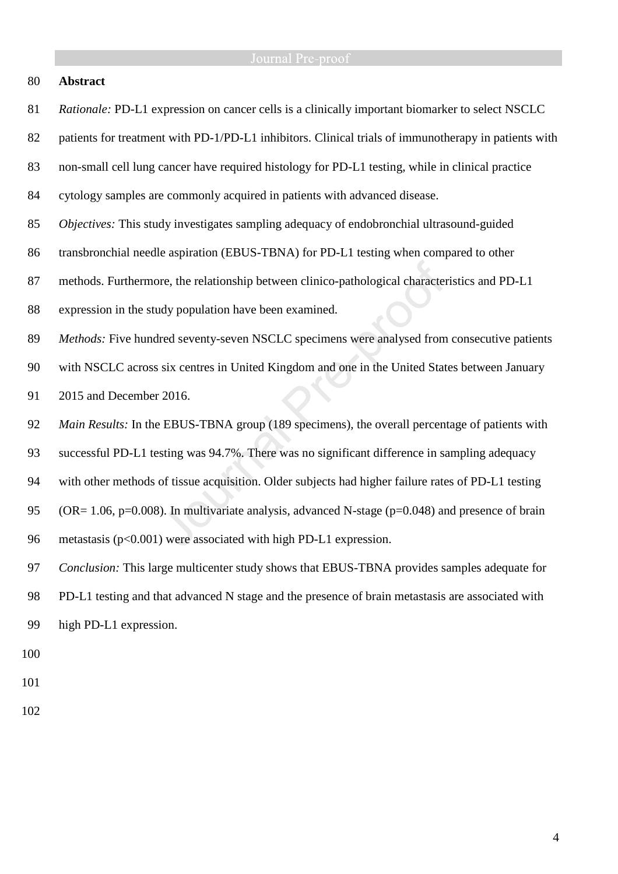### 80 **Abstract**

- 81 *Rationale:* PD-L1 expression on cancer cells is a clinically important biomarker to select NSCLC
- 82 patients for treatment with PD-1/PD-L1 inhibitors. Clinical trials of immunotherapy in patients with
- 83 non-small cell lung cancer have required histology for PD-L1 testing, while in clinical practice
- 84 cytology samples are commonly acquired in patients with advanced disease.
- 85 *Objectives:* This study investigates sampling adequacy of endobronchial ultrasound-guided
- 86 transbronchial needle aspiration (EBUS-TBNA) for PD-L1 testing when compared to other
- 87 methods. Furthermore, the relationship between clinico-pathological characteristics and PD-L1
- 88 expression in the study population have been examined.
- 89 *Methods:* Five hundred seventy-seven NSCLC specimens were analysed from consecutive patients
- 90 with NSCLC across six centres in United Kingdom and one in the United States between January
- 91 2015 and December 2016.
- 92 *Main Results:* In the EBUS-TBNA group (189 specimens), the overall percentage of patients with
- 93 successful PD-L1 testing was 94.7%. There was no significant difference in sampling adequacy
- 94 with other methods of tissue acquisition. Older subjects had higher failure rates of PD-L1 testing
- 95 (OR= 1.06, p=0.008). In multivariate analysis, advanced N-stage (p=0.048) and presence of brain
- 96 metastasis (p<0.001) were associated with high PD-L1 expression.
- 97 *Conclusion:* This large multicenter study shows that EBUS-TBNA provides samples adequate for 98 PD-L1 testing and that advanced N stage and the presence of brain metastasis are associated with
- 99 high PD-L1 expression.
- 100
- 101
- 102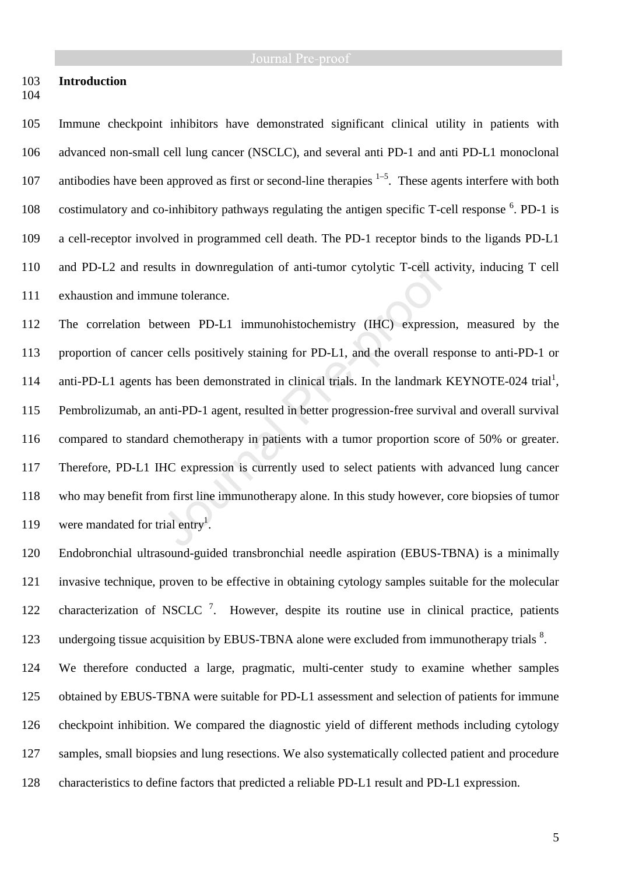## 103 **Introduction**

104

105 Immune checkpoint inhibitors have demonstrated significant clinical utility in patients with 106 advanced non-small cell lung cancer (NSCLC), and several anti PD-1 and anti PD-L1 monoclonal 107 antibodies have been approved as first or second-line therapies  $1-5$ . These agents interfere with both 108 costimulatory and co-inhibitory pathways regulating the antigen specific T-cell response <sup>6</sup>. PD-1 is 109 a cell-receptor involved in programmed cell death. The PD-1 receptor binds to the ligands PD-L1 110 and PD-L2 and results in downregulation of anti-tumor cytolytic T-cell activity, inducing T cell 111 exhaustion and immune tolerance.

112 The correlation between PD-L1 immunohistochemistry (IHC) expression, measured by the 113 proportion of cancer cells positively staining for PD-L1, and the overall response to anti-PD-1 or 114 anti-PD-L1 agents has been demonstrated in clinical trials. In the landmark KEYNOTE-024 trial<sup>1</sup>, 115 Pembrolizumab, an anti-PD-1 agent, resulted in better progression-free survival and overall survival 116 compared to standard chemotherapy in patients with a tumor proportion score of 50% or greater. 117 Therefore, PD-L1 IHC expression is currently used to select patients with advanced lung cancer 118 who may benefit from first line immunotherapy alone. In this study however, core biopsies of tumor 119 were mandated for trial entry<sup>1</sup>.

120 Endobronchial ultrasound-guided transbronchial needle aspiration (EBUS-TBNA) is a minimally 121 invasive technique, proven to be effective in obtaining cytology samples suitable for the molecular 122 characterization of NSCLC<sup>7</sup>. However, despite its routine use in clinical practice, patients 123 undergoing tissue acquisition by EBUS-TBNA alone were excluded from immunotherapy trials <sup>8</sup>.

124 We therefore conducted a large, pragmatic, multi-center study to examine whether samples 125 obtained by EBUS-TBNA were suitable for PD-L1 assessment and selection of patients for immune 126 checkpoint inhibition. We compared the diagnostic yield of different methods including cytology 127 samples, small biopsies and lung resections. We also systematically collected patient and procedure 128 characteristics to define factors that predicted a reliable PD-L1 result and PD-L1 expression.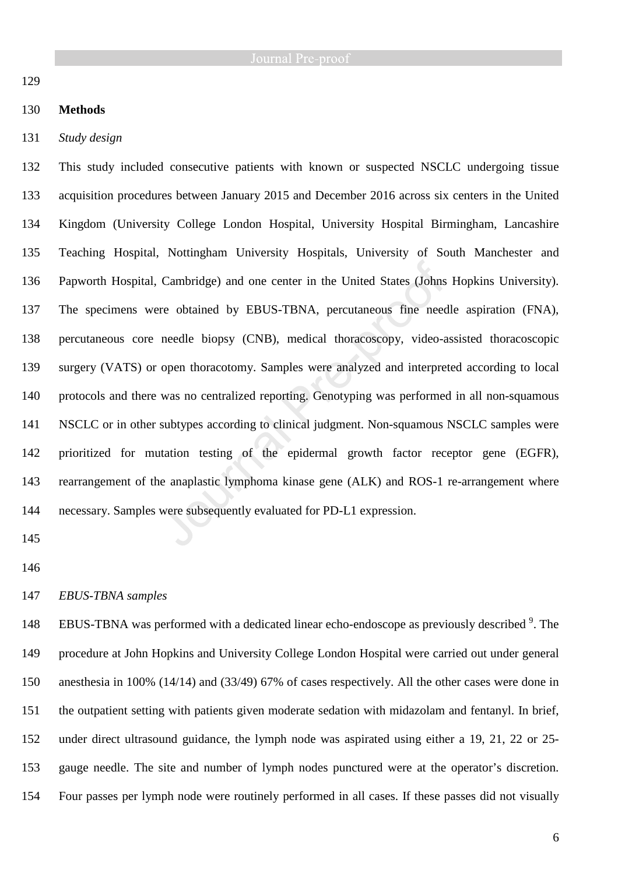## 129

## 130 **Methods**

131 *Study design* 

132 This study included consecutive patients with known or suspected NSCLC undergoing tissue 133 acquisition procedures between January 2015 and December 2016 across six centers in the United 134 Kingdom (University College London Hospital, University Hospital Birmingham, Lancashire 135 Teaching Hospital, Nottingham University Hospitals, University of South Manchester and 136 Papworth Hospital, Cambridge) and one center in the United States (Johns Hopkins University). 137 The specimens were obtained by EBUS-TBNA, percutaneous fine needle aspiration (FNA), 138 percutaneous core needle biopsy (CNB), medical thoracoscopy, video-assisted thoracoscopic 139 surgery (VATS) or open thoracotomy. Samples were analyzed and interpreted according to local 140 protocols and there was no centralized reporting. Genotyping was performed in all non-squamous 141 NSCLC or in other subtypes according to clinical judgment. Non-squamous NSCLC samples were 142 prioritized for mutation testing of the epidermal growth factor receptor gene (EGFR), 143 rearrangement of the anaplastic lymphoma kinase gene (ALK) and ROS-1 re-arrangement where 144 necessary. Samples were subsequently evaluated for PD-L1 expression.

- 145
- 146

## 147 *EBUS-TBNA samples*

148 EBUS-TBNA was performed with a dedicated linear echo-endoscope as previously described<sup>9</sup>. The 149 procedure at John Hopkins and University College London Hospital were carried out under general 150 anesthesia in 100% (14/14) and (33/49) 67% of cases respectively. All the other cases were done in 151 the outpatient setting with patients given moderate sedation with midazolam and fentanyl. In brief, 152 under direct ultrasound guidance, the lymph node was aspirated using either a 19, 21, 22 or 25- 153 gauge needle. The site and number of lymph nodes punctured were at the operator's discretion. 154 Four passes per lymph node were routinely performed in all cases. If these passes did not visually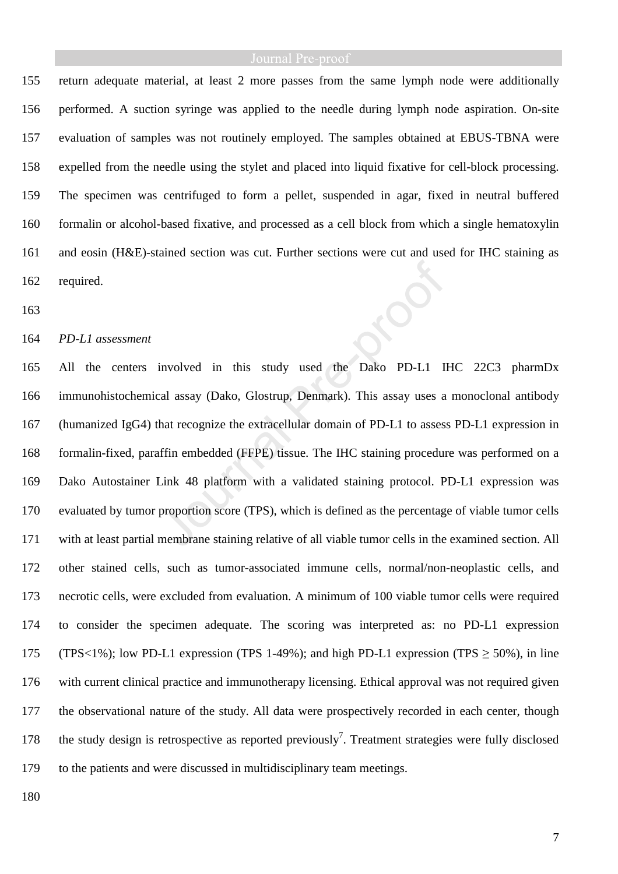155 return adequate material, at least 2 more passes from the same lymph node were additionally 156 performed. A suction syringe was applied to the needle during lymph node aspiration. On-site 157 evaluation of samples was not routinely employed. The samples obtained at EBUS-TBNA were 158 expelled from the needle using the stylet and placed into liquid fixative for cell-block processing. 159 The specimen was centrifuged to form a pellet, suspended in agar, fixed in neutral buffered 160 formalin or alcohol-based fixative, and processed as a cell block from which a single hematoxylin 161 and eosin (H&E)-stained section was cut. Further sections were cut and used for IHC staining as 162 required.

163

### 164 *PD-L1 assessment*

165 All the centers involved in this study used the Dako PD-L1 IHC 22C3 pharmDx 166 immunohistochemical assay (Dako, Glostrup, Denmark). This assay uses a monoclonal antibody 167 (humanized IgG4) that recognize the extracellular domain of PD-L1 to assess PD-L1 expression in 168 formalin-fixed, paraffin embedded (FFPE) tissue. The IHC staining procedure was performed on a 169 Dako Autostainer Link 48 platform with a validated staining protocol. PD-L1 expression was 170 evaluated by tumor proportion score (TPS), which is defined as the percentage of viable tumor cells 171 with at least partial membrane staining relative of all viable tumor cells in the examined section. All 172 other stained cells, such as tumor-associated immune cells, normal/non-neoplastic cells, and 173 necrotic cells, were excluded from evaluation. A minimum of 100 viable tumor cells were required 174 to consider the specimen adequate. The scoring was interpreted as: no PD-L1 expression 175 (TPS<1%); low PD-L1 expression (TPS 1-49%); and high PD-L1 expression (TPS ≥ 50%), in line 176 with current clinical practice and immunotherapy licensing. Ethical approval was not required given 177 the observational nature of the study. All data were prospectively recorded in each center, though 178 the study design is retrospective as reported previously<sup>7</sup>. Treatment strategies were fully disclosed 179 to the patients and were discussed in multidisciplinary team meetings.

180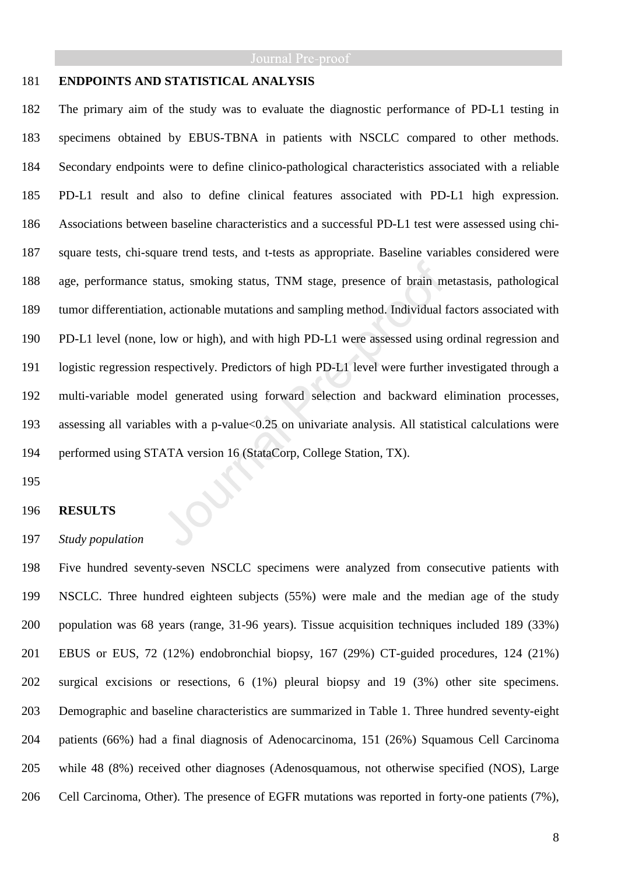### 181 **ENDPOINTS AND STATISTICAL ANALYSIS**

182 The primary aim of the study was to evaluate the diagnostic performance of PD-L1 testing in 183 specimens obtained by EBUS-TBNA in patients with NSCLC compared to other methods. 184 Secondary endpoints were to define clinico-pathological characteristics associated with a reliable 185 PD-L1 result and also to define clinical features associated with PD-L1 high expression. 186 Associations between baseline characteristics and a successful PD-L1 test were assessed using chi-187 square tests, chi-square trend tests, and t-tests as appropriate. Baseline variables considered were 188 age, performance status, smoking status, TNM stage, presence of brain metastasis, pathological 189 tumor differentiation, actionable mutations and sampling method. Individual factors associated with 190 PD-L1 level (none, low or high), and with high PD-L1 were assessed using ordinal regression and 191 logistic regression respectively. Predictors of high PD-L1 level were further investigated through a 192 multi-variable model generated using forward selection and backward elimination processes, 193 assessing all variables with a p-value<0.25 on univariate analysis. All statistical calculations were 194 performed using STATA version 16 (StataCorp, College Station, TX).

195

### 196 **RESULTS**

### 197 *Study population*

198 Five hundred seventy-seven NSCLC specimens were analyzed from consecutive patients with 199 NSCLC. Three hundred eighteen subjects (55%) were male and the median age of the study 200 population was 68 years (range, 31-96 years). Tissue acquisition techniques included 189 (33%) 201 EBUS or EUS, 72 (12%) endobronchial biopsy, 167 (29%) CT-guided procedures, 124 (21%) 202 surgical excisions or resections, 6 (1%) pleural biopsy and 19 (3%) other site specimens. 203 Demographic and baseline characteristics are summarized in Table 1. Three hundred seventy-eight 204 patients (66%) had a final diagnosis of Adenocarcinoma, 151 (26%) Squamous Cell Carcinoma 205 while 48 (8%) received other diagnoses (Adenosquamous, not otherwise specified (NOS), Large 206 Cell Carcinoma, Other). The presence of EGFR mutations was reported in forty-one patients (7%),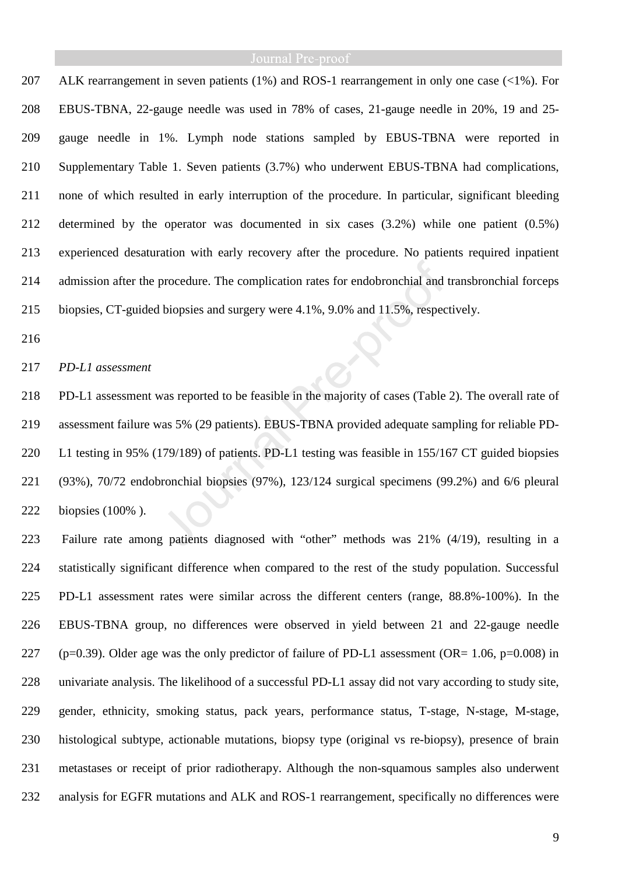207 ALK rearrangement in seven patients (1%) and ROS-1 rearrangement in only one case (<1%). For 208 EBUS-TBNA, 22-gauge needle was used in 78% of cases, 21-gauge needle in 20%, 19 and 25- 209 gauge needle in 1%. Lymph node stations sampled by EBUS-TBNA were reported in 210 Supplementary Table 1. Seven patients (3.7%) who underwent EBUS-TBNA had complications, 211 none of which resulted in early interruption of the procedure. In particular, significant bleeding 212 determined by the operator was documented in six cases (3.2%) while one patient (0.5%) 213 experienced desaturation with early recovery after the procedure. No patients required inpatient 214 admission after the procedure. The complication rates for endobronchial and transbronchial forceps 215 biopsies, CT-guided biopsies and surgery were 4.1%, 9.0% and 11.5%, respectively.

216

### 217 *PD-L1 assessment*

218 PD-L1 assessment was reported to be feasible in the majority of cases (Table 2). The overall rate of 219 assessment failure was 5% (29 patients). EBUS-TBNA provided adequate sampling for reliable PD-220 L1 testing in 95% (179/189) of patients. PD-L1 testing was feasible in 155/167 CT guided biopsies 221 (93%), 70/72 endobronchial biopsies (97%), 123/124 surgical specimens (99.2%) and 6/6 pleural 222 biopsies (100% ).

223 Failure rate among patients diagnosed with "other" methods was 21% (4/19), resulting in a 224 statistically significant difference when compared to the rest of the study population. Successful 225 PD-L1 assessment rates were similar across the different centers (range, 88.8%-100%). In the 226 EBUS-TBNA group, no differences were observed in yield between 21 and 22-gauge needle 227 (p=0.39). Older age was the only predictor of failure of PD-L1 assessment (OR=  $1.06$ , p=0.008) in 228 univariate analysis. The likelihood of a successful PD-L1 assay did not vary according to study site, 229 gender, ethnicity, smoking status, pack years, performance status, T-stage, N-stage, M-stage, 230 histological subtype, actionable mutations, biopsy type (original vs re-biopsy), presence of brain 231 metastases or receipt of prior radiotherapy. Although the non-squamous samples also underwent 232 analysis for EGFR mutations and ALK and ROS-1 rearrangement, specifically no differences were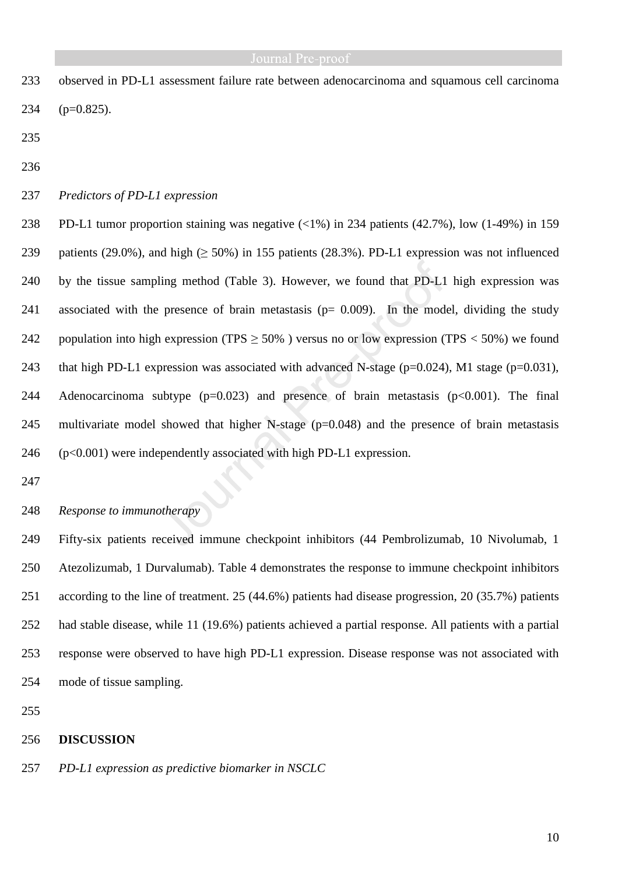- 233 observed in PD-L1 assessment failure rate between adenocarcinoma and squamous cell carcinoma 234 (p=0.825).
- 235
- 236
- 237 *Predictors of PD-L1 expression*

238 PD-L1 tumor proportion staining was negative (<1%) in 234 patients (42.7%), low (1-49%) in 159 239 patients (29.0%), and high ( $> 50\%$ ) in 155 patients (28.3%). PD-L1 expression was not influenced 240 by the tissue sampling method (Table 3). However, we found that PD-L1 high expression was 241 associated with the presence of brain metastasis ( $p= 0.009$ ). In the model, dividing the study 242 population into high expression (TPS  $\geq$  50%) versus no or low expression (TPS  $<$  50%) we found 243 that high PD-L1 expression was associated with advanced N-stage ( $p=0.024$ ), M1 stage ( $p=0.031$ ), 244 Adenocarcinoma subtype  $(p=0.023)$  and presence of brain metastasis  $(p<0.001)$ . The final 245 multivariate model showed that higher N-stage (p=0.048) and the presence of brain metastasis 246 (p<0.001) were independently associated with high PD-L1 expression.

- 247
- 248 *Response to immunotherapy*

249 Fifty-six patients received immune checkpoint inhibitors (44 Pembrolizumab, 10 Nivolumab, 1 250 Atezolizumab, 1 Durvalumab). Table 4 demonstrates the response to immune checkpoint inhibitors 251 according to the line of treatment. 25 (44.6%) patients had disease progression, 20 (35.7%) patients 252 had stable disease, while 11 (19.6%) patients achieved a partial response. All patients with a partial 253 response were observed to have high PD-L1 expression. Disease response was not associated with 254 mode of tissue sampling.

255

### 256 **DISCUSSION**

257 *PD-L1 expression as predictive biomarker in NSCLC*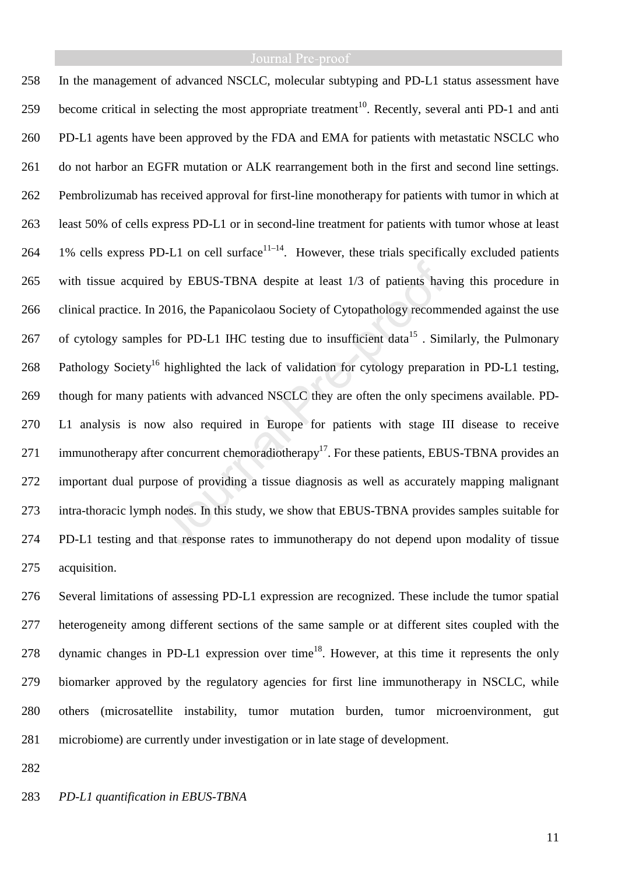258 In the management of advanced NSCLC, molecular subtyping and PD-L1 status assessment have  $259$  become critical in selecting the most appropriate treatment<sup>10</sup>. Recently, several anti PD-1 and anti 260 PD-L1 agents have been approved by the FDA and EMA for patients with metastatic NSCLC who 261 do not harbor an EGFR mutation or ALK rearrangement both in the first and second line settings. 262 Pembrolizumab has received approval for first-line monotherapy for patients with tumor in which at 263 least 50% of cells express PD-L1 or in second-line treatment for patients with tumor whose at least 264 1% cells express PD-L1 on cell surface<sup> $11-14$ </sup>. However, these trials specifically excluded patients 265 with tissue acquired by EBUS-TBNA despite at least 1/3 of patients having this procedure in 266 clinical practice. In 2016, the Papanicolaou Society of Cytopathology recommended against the use 267 of cytology samples for PD-L1 IHC testing due to insufficient data<sup>15</sup>. Similarly, the Pulmonary 268 Pathology Society<sup>16</sup> highlighted the lack of validation for cytology preparation in PD-L1 testing, 269 though for many patients with advanced NSCLC they are often the only specimens available. PD-270 L1 analysis is now also required in Europe for patients with stage III disease to receive 271 immunotherapy after concurrent chemoradiotherapy<sup>17</sup>. For these patients, EBUS-TBNA provides an 272 important dual purpose of providing a tissue diagnosis as well as accurately mapping malignant 273 intra-thoracic lymph nodes. In this study, we show that EBUS-TBNA provides samples suitable for 274 PD-L1 testing and that response rates to immunotherapy do not depend upon modality of tissue 275 acquisition.

276 Several limitations of assessing PD-L1 expression are recognized. These include the tumor spatial 277 heterogeneity among different sections of the same sample or at different sites coupled with the 278 dynamic changes in PD-L1 expression over time<sup>18</sup>. However, at this time it represents the only 279 biomarker approved by the regulatory agencies for first line immunotherapy in NSCLC, while 280 others (microsatellite instability, tumor mutation burden, tumor microenvironment, gut 281 microbiome) are currently under investigation or in late stage of development.

282

283 *PD-L1 quantification in EBUS-TBNA*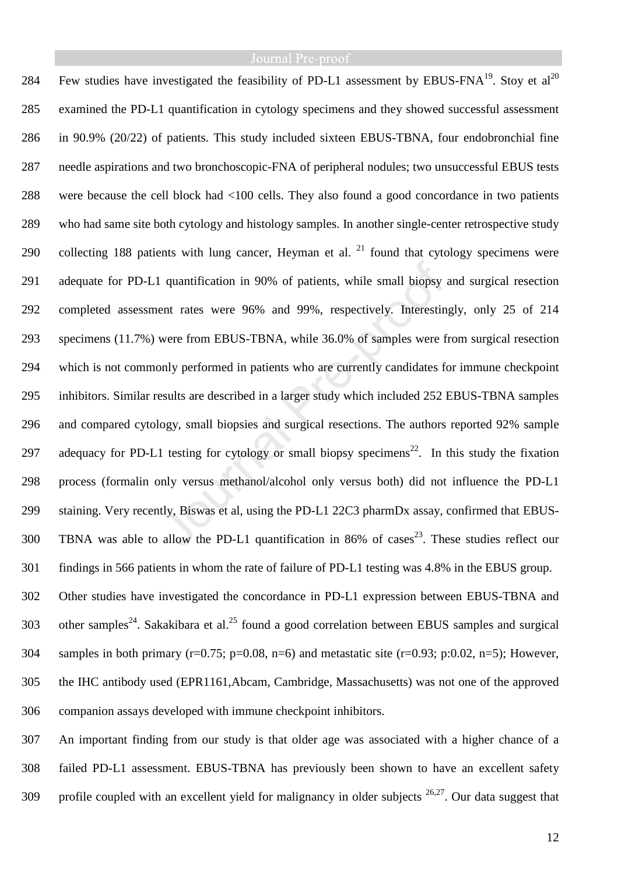284 Few studies have investigated the feasibility of PD-L1 assessment by EBUS-FNA<sup>19</sup>. Stoy et al<sup>20</sup> 285 examined the PD-L1 quantification in cytology specimens and they showed successful assessment 286 in 90.9% (20/22) of patients. This study included sixteen EBUS-TBNA, four endobronchial fine 287 needle aspirations and two bronchoscopic-FNA of peripheral nodules; two unsuccessful EBUS tests 288 were because the cell block had <100 cells. They also found a good concordance in two patients 289 who had same site both cytology and histology samples. In another single-center retrospective study 290 collecting 188 patients with lung cancer, Heyman et al.  $^{21}$  found that cytology specimens were 291 adequate for PD-L1 quantification in 90% of patients, while small biopsy and surgical resection 292 completed assessment rates were 96% and 99%, respectively. Interestingly, only 25 of 214 293 specimens (11.7%) were from EBUS-TBNA, while 36.0% of samples were from surgical resection 294 which is not commonly performed in patients who are currently candidates for immune checkpoint 295 inhibitors. Similar results are described in a larger study which included 252 EBUS-TBNA samples 296 and compared cytology, small biopsies and surgical resections. The authors reported 92% sample 297 adequacy for PD-L1 testing for cytology or small biopsy specimens<sup>22</sup>. In this study the fixation 298 process (formalin only versus methanol/alcohol only versus both) did not influence the PD-L1 299 staining. Very recently, Biswas et al, using the PD-L1 22C3 pharmDx assay, confirmed that EBUS- $300$  TBNA was able to allow the PD-L1 quantification in 86% of cases<sup>23</sup>. These studies reflect our 301 findings in 566 patients in whom the rate of failure of PD-L1 testing was 4.8% in the EBUS group. 302 Other studies have investigated the concordance in PD-L1 expression between EBUS-TBNA and 303 other samples<sup>24</sup>. Sakakibara et al.<sup>25</sup> found a good correlation between EBUS samples and surgical 304 samples in both primary ( $r=0.75$ ;  $p=0.08$ ,  $n=6$ ) and metastatic site ( $r=0.93$ ;  $p:0.02$ ,  $n=5$ ); However, 305 the IHC antibody used (EPR1161,Abcam, Cambridge, Massachusetts) was not one of the approved 306 companion assays developed with immune checkpoint inhibitors.

307 An important finding from our study is that older age was associated with a higher chance of a 308 failed PD-L1 assessment. EBUS-TBNA has previously been shown to have an excellent safety 309 profile coupled with an excellent yield for malignancy in older subjects  $26,27$ . Our data suggest that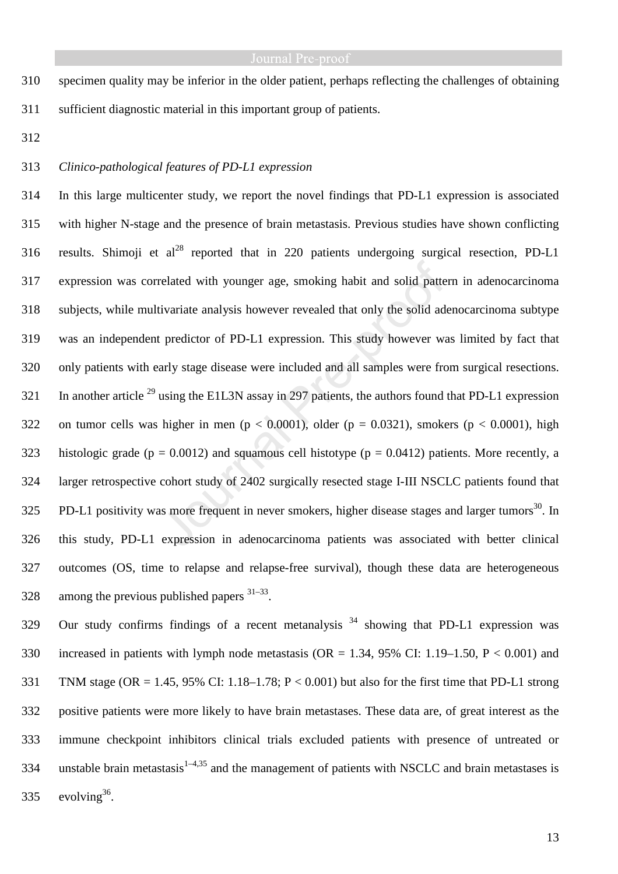310 specimen quality may be inferior in the older patient, perhaps reflecting the challenges of obtaining 311 sufficient diagnostic material in this important group of patients.

312

## 313 *Clinico-pathological features of PD-L1 expression*

314 In this large multicenter study, we report the novel findings that PD-L1 expression is associated 315 with higher N-stage and the presence of brain metastasis. Previous studies have shown conflicting 316 results. Shimoji et al<sup>28</sup> reported that in 220 patients undergoing surgical resection, PD-L1 317 expression was correlated with younger age, smoking habit and solid pattern in adenocarcinoma 318 subjects, while multivariate analysis however revealed that only the solid adenocarcinoma subtype 319 was an independent predictor of PD-L1 expression. This study however was limited by fact that 320 only patients with early stage disease were included and all samples were from surgical resections. 321 In another article  $^{29}$  using the E1L3N assay in 297 patients, the authors found that PD-L1 expression 322 on tumor cells was higher in men ( $p < 0.0001$ ), older ( $p = 0.0321$ ), smokers ( $p < 0.0001$ ), high 323 histologic grade ( $p = 0.0012$ ) and squamous cell histotype ( $p = 0.0412$ ) patients. More recently, a 324 larger retrospective cohort study of 2402 surgically resected stage I-III NSCLC patients found that  $325$  PD-L1 positivity was more frequent in never smokers, higher disease stages and larger tumors<sup>30</sup>. In 326 this study, PD-L1 expression in adenocarcinoma patients was associated with better clinical 327 outcomes (OS, time to relapse and relapse-free survival), though these data are heterogeneous 328 among the previous published papers  $31-33$ .

329 Our study confirms findings of a recent metanalysis  $34$  showing that PD-L1 expression was 330 increased in patients with lymph node metastasis ( $OR = 1.34$ , 95% CI: 1.19–1.50, P < 0.001) and 331 TNM stage (OR = 1.45, 95% CI: 1.18–1.78; P < 0.001) but also for the first time that PD-L1 strong 332 positive patients were more likely to have brain metastases. These data are, of great interest as the 333 immune checkpoint inhibitors clinical trials excluded patients with presence of untreated or 334 unstable brain metastasis<sup>1–4,35</sup> and the management of patients with NSCLC and brain metastases is 335  $evolving^{36}$ .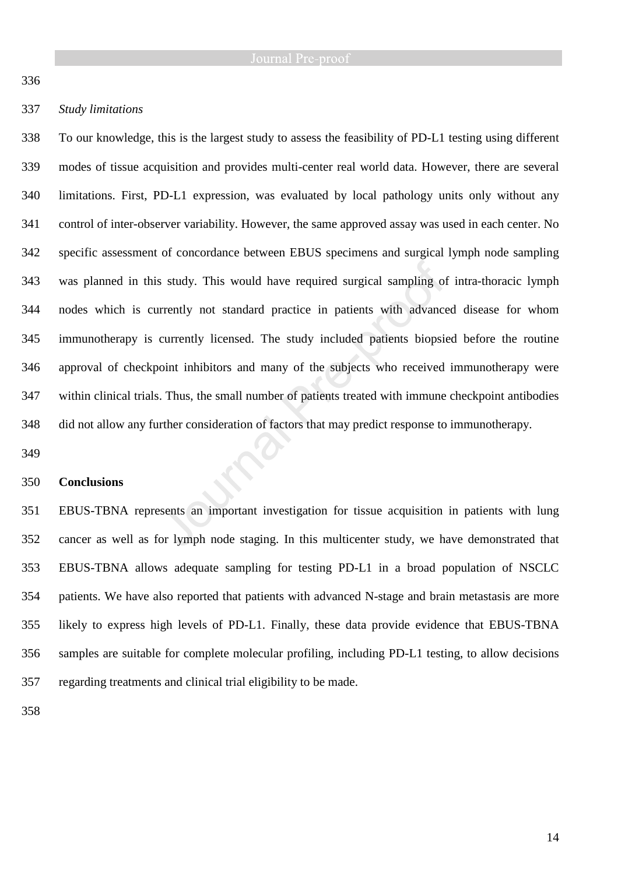336

## 337 *Study limitations*

338 To our knowledge, this is the largest study to assess the feasibility of PD-L1 testing using different 339 modes of tissue acquisition and provides multi-center real world data. However, there are several 340 limitations. First, PD-L1 expression, was evaluated by local pathology units only without any 341 control of inter-observer variability. However, the same approved assay was used in each center. No 342 specific assessment of concordance between EBUS specimens and surgical lymph node sampling 343 was planned in this study. This would have required surgical sampling of intra-thoracic lymph 344 nodes which is currently not standard practice in patients with advanced disease for whom 345 immunotherapy is currently licensed. The study included patients biopsied before the routine 346 approval of checkpoint inhibitors and many of the subjects who received immunotherapy were 347 within clinical trials. Thus, the small number of patients treated with immune checkpoint antibodies 348 did not allow any further consideration of factors that may predict response to immunotherapy.

349

### 350 **Conclusions**

351 EBUS-TBNA represents an important investigation for tissue acquisition in patients with lung 352 cancer as well as for lymph node staging. In this multicenter study, we have demonstrated that 353 EBUS-TBNA allows adequate sampling for testing PD-L1 in a broad population of NSCLC 354 patients. We have also reported that patients with advanced N-stage and brain metastasis are more 355 likely to express high levels of PD-L1. Finally, these data provide evidence that EBUS-TBNA 356 samples are suitable for complete molecular profiling, including PD-L1 testing, to allow decisions 357 regarding treatments and clinical trial eligibility to be made.

358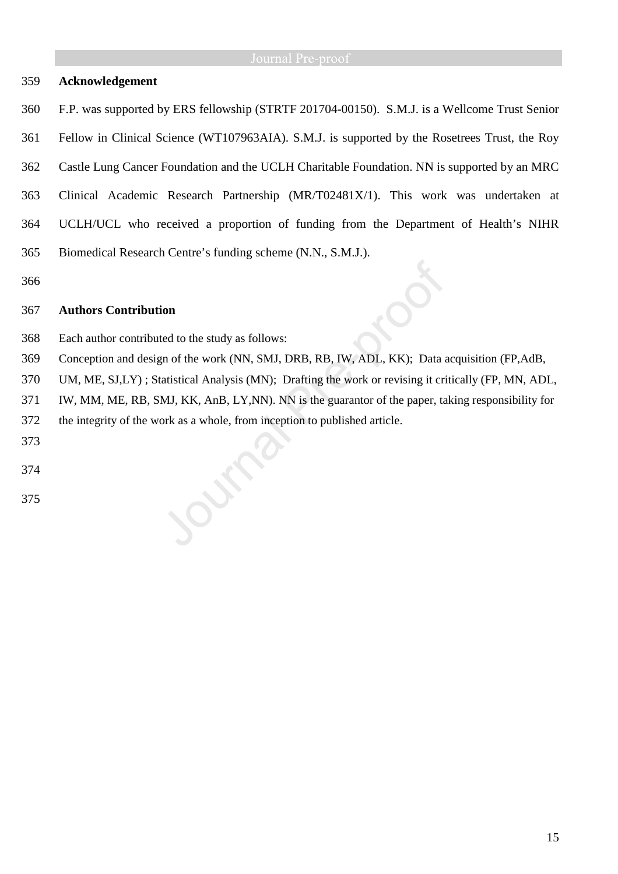## **Acknowledgement**

- 360 F.P. was supported by ERS fellowship (STRTF 201704-00150). S.M.J. is a Wellcome Trust Senior
- 361 Fellow in Clinical Science (WT107963AIA). S.M.J. is supported by the Rosetrees Trust, the Roy
- 362 Castle Lung Cancer Foundation and the UCLH Charitable Foundation. NN is supported by an MRC
- 363 Clinical Academic Research Partnership (MR/T02481X/1). This work was undertaken at
- 364 UCLH/UCL who received a proportion of funding from the Department of Health's NIHR
- 365 Biomedical Research Centre's funding scheme (N.N., S.M.J.).

## **Authors Contribution**

- Each author contributed to the study as follows:
- Conception and design of the work (NN, SMJ, DRB, RB, IW, ADL, KK); Data acquisition (FP,AdB,
- UM, ME, SJ,LY) ; Statistical Analysis (MN); Drafting the work or revising it critically (FP, MN, ADL,
- IW, MM, ME, RB, SMJ, KK, AnB, LY,NN). NN is the guarantor of the paper, taking responsibility for
- the integrity of the work as a whole, from inception to published article.

Our

- 
- 
-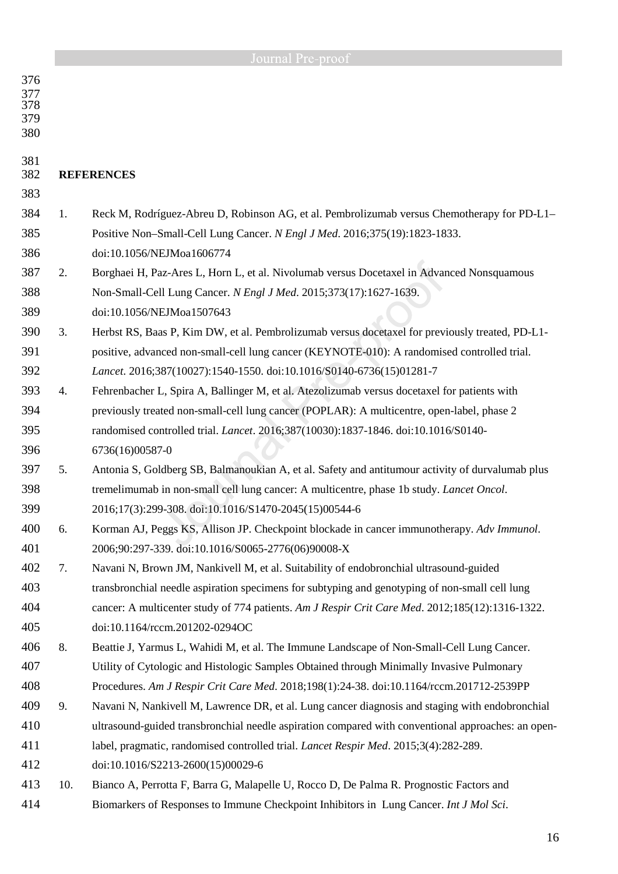|                                 |     | Journal Pre-proof                                                                                  |
|---------------------------------|-----|----------------------------------------------------------------------------------------------------|
| 376<br>377<br>378<br>379<br>380 |     |                                                                                                    |
| 381<br>382                      |     | <b>REFERENCES</b>                                                                                  |
| 383                             |     |                                                                                                    |
| 384                             | 1.  | Reck M, Rodríguez-Abreu D, Robinson AG, et al. Pembrolizumab versus Chemotherapy for PD-L1–        |
| 385                             |     | Positive Non-Small-Cell Lung Cancer. N Engl J Med. 2016;375(19):1823-1833.                         |
| 386                             |     | doi:10.1056/NEJMoa1606774                                                                          |
| 387                             | 2.  | Borghaei H, Paz-Ares L, Horn L, et al. Nivolumab versus Docetaxel in Advanced Nonsquamous          |
| 388                             |     | Non-Small-Cell Lung Cancer. N Engl J Med. 2015;373(17):1627-1639.                                  |
| 389                             |     | doi:10.1056/NEJMoa1507643                                                                          |
| 390                             | 3.  | Herbst RS, Baas P, Kim DW, et al. Pembrolizumab versus docetaxel for previously treated, PD-L1-    |
| 391                             |     | positive, advanced non-small-cell lung cancer (KEYNOTE-010): A randomised controlled trial.        |
| 392                             |     | Lancet. 2016;387(10027):1540-1550. doi:10.1016/S0140-6736(15)01281-7                               |
| 393                             | 4.  | Fehrenbacher L, Spira A, Ballinger M, et al. Atezolizumab versus docetaxel for patients with       |
| 394                             |     | previously treated non-small-cell lung cancer (POPLAR): A multicentre, open-label, phase 2         |
| 395                             |     | randomised controlled trial. <i>Lancet</i> . 2016;387(10030):1837-1846. doi:10.1016/S0140-         |
| 396                             |     | 6736(16)00587-0                                                                                    |
| 397                             | 5.  | Antonia S, Goldberg SB, Balmanoukian A, et al. Safety and antitumour activity of durvalumab plus   |
| 398                             |     | tremelimumab in non-small cell lung cancer: A multicentre, phase 1b study. Lancet Oncol.           |
| 399                             |     | 2016;17(3):299-308. doi:10.1016/S1470-2045(15)00544-6                                              |
| 400                             | 6.  | Korman AJ, Peggs KS, Allison JP. Checkpoint blockade in cancer immunotherapy. Adv Immunol.         |
| 401                             |     | 2006;90:297-339. doi:10.1016/S0065-2776(06)90008-X                                                 |
| 402                             | 7.  | Navani N, Brown JM, Nankivell M, et al. Suitability of endobronchial ultrasound-guided             |
| 403                             |     | transbronchial needle aspiration specimens for subtyping and genotyping of non-small cell lung     |
| 404                             |     | cancer: A multicenter study of 774 patients. Am J Respir Crit Care Med. 2012;185(12):1316-1322.    |
| 405                             |     | doi:10.1164/rccm.201202-0294OC                                                                     |
| 406                             | 8.  | Beattie J, Yarmus L, Wahidi M, et al. The Immune Landscape of Non-Small-Cell Lung Cancer.          |
| 407                             |     | Utility of Cytologic and Histologic Samples Obtained through Minimally Invasive Pulmonary          |
| 408                             |     | Procedures. Am J Respir Crit Care Med. 2018;198(1):24-38. doi:10.1164/rccm.201712-2539PP           |
| 409                             | 9.  | Navani N, Nankivell M, Lawrence DR, et al. Lung cancer diagnosis and staging with endobronchial    |
| 410                             |     | ultrasound-guided transbronchial needle aspiration compared with conventional approaches: an open- |
| 411                             |     | label, pragmatic, randomised controlled trial. <i>Lancet Respir Med.</i> 2015;3(4):282-289.        |
| 412                             |     | doi:10.1016/S2213-2600(15)00029-6                                                                  |
| 413                             | 10. | Bianco A, Perrotta F, Barra G, Malapelle U, Rocco D, De Palma R. Prognostic Factors and            |
| 414                             |     | Biomarkers of Responses to Immune Checkpoint Inhibitors in Lung Cancer. Int J Mol Sci.             |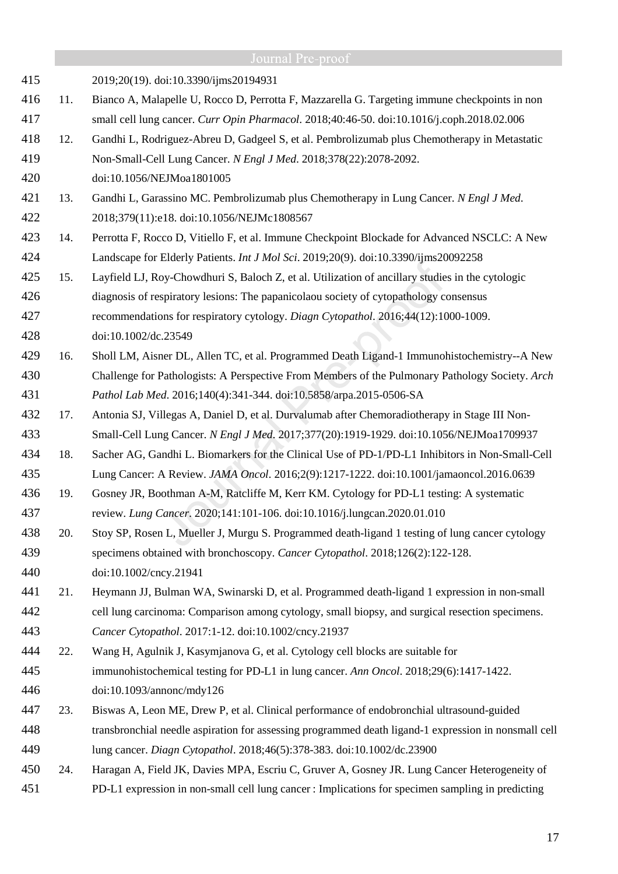|     |     | Journal Pre-proof                                                                                    |
|-----|-----|------------------------------------------------------------------------------------------------------|
| 415 |     | 2019;20(19). doi:10.3390/ijms20194931                                                                |
| 416 | 11. | Bianco A, Malapelle U, Rocco D, Perrotta F, Mazzarella G. Targeting immune checkpoints in non        |
| 417 |     | small cell lung cancer. Curr Opin Pharmacol. 2018;40:46-50. doi:10.1016/j.coph.2018.02.006           |
| 418 | 12. | Gandhi L, Rodriguez-Abreu D, Gadgeel S, et al. Pembrolizumab plus Chemotherapy in Metastatic         |
| 419 |     | Non-Small-Cell Lung Cancer. N Engl J Med. 2018;378(22):2078-2092.                                    |
| 420 |     | doi:10.1056/NEJMoa1801005                                                                            |
| 421 | 13. | Gandhi L, Garassino MC. Pembrolizumab plus Chemotherapy in Lung Cancer. N Engl J Med.                |
| 422 |     | 2018;379(11):e18. doi:10.1056/NEJMc1808567                                                           |
| 423 | 14. | Perrotta F, Rocco D, Vitiello F, et al. Immune Checkpoint Blockade for Advanced NSCLC: A New         |
| 424 |     | Landscape for Elderly Patients. <i>Int J Mol Sci.</i> 2019;20(9). doi:10.3390/ijms20092258           |
| 425 | 15. | Layfield LJ, Roy-Chowdhuri S, Baloch Z, et al. Utilization of ancillary studies in the cytologic     |
| 426 |     | diagnosis of respiratory lesions: The papanicolaou society of cytopathology consensus                |
| 427 |     | recommendations for respiratory cytology. Diagn Cytopathol. 2016;44(12):1000-1009.                   |
| 428 |     | doi:10.1002/dc.23549                                                                                 |
| 429 | 16. | Sholl LM, Aisner DL, Allen TC, et al. Programmed Death Ligand-1 Immunohistochemistry--A New          |
| 430 |     | Challenge for Pathologists: A Perspective From Members of the Pulmonary Pathology Society. Arch      |
| 431 |     | Pathol Lab Med. 2016;140(4):341-344. doi:10.5858/arpa.2015-0506-SA                                   |
| 432 | 17. | Antonia SJ, Villegas A, Daniel D, et al. Durvalumab after Chemoradiotherapy in Stage III Non-        |
| 433 |     | Small-Cell Lung Cancer. N Engl J Med. 2017;377(20):1919-1929. doi:10.1056/NEJMoa1709937              |
| 434 | 18. | Sacher AG, Gandhi L. Biomarkers for the Clinical Use of PD-1/PD-L1 Inhibitors in Non-Small-Cell      |
| 435 |     | Lung Cancer: A Review. JAMA Oncol. 2016;2(9):1217-1222. doi:10.1001/jamaoncol.2016.0639              |
| 436 | 19. | Gosney JR, Boothman A-M, Ratcliffe M, Kerr KM. Cytology for PD-L1 testing: A systematic              |
| 437 |     | review. Lung Cancer. 2020;141:101-106. doi:10.1016/j.lungcan.2020.01.010                             |
| 438 | 20. | Stoy SP, Rosen L, Mueller J, Murgu S. Programmed death-ligand 1 testing of lung cancer cytology      |
| 439 |     | specimens obtained with bronchoscopy. Cancer Cytopathol. 2018;126(2):122-128.                        |
| 440 |     | doi:10.1002/cncy.21941                                                                               |
| 441 | 21. | Heymann JJ, Bulman WA, Swinarski D, et al. Programmed death-ligand 1 expression in non-small         |
| 442 |     | cell lung carcinoma: Comparison among cytology, small biopsy, and surgical resection specimens.      |
| 443 |     | Cancer Cytopathol. 2017:1-12. doi:10.1002/cncy.21937                                                 |
| 444 | 22. | Wang H, Agulnik J, Kasymjanova G, et al. Cytology cell blocks are suitable for                       |
| 445 |     | immunohistochemical testing for PD-L1 in lung cancer. Ann Oncol. 2018;29(6):1417-1422.               |
| 446 |     | doi:10.1093/annonc/mdy126                                                                            |
| 447 | 23. | Biswas A, Leon ME, Drew P, et al. Clinical performance of endobronchial ultrasound-guided            |
| 448 |     | transbronchial needle aspiration for assessing programmed death ligand-1 expression in nonsmall cell |
| 449 |     | lung cancer. Diagn Cytopathol. 2018;46(5):378-383. doi:10.1002/dc.23900                              |
| 450 | 24. | Haragan A, Field JK, Davies MPA, Escriu C, Gruver A, Gosney JR. Lung Cancer Heterogeneity of         |
| 451 |     | PD-L1 expression in non-small cell lung cancer : Implications for specimen sampling in predicting    |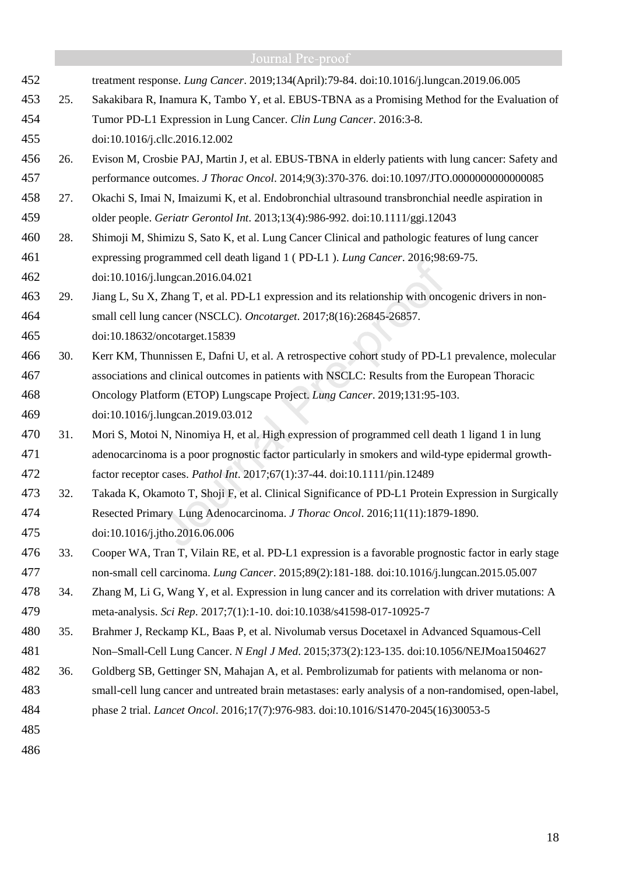|     |     | Journal Pre-proof                                                                                      |  |  |  |  |
|-----|-----|--------------------------------------------------------------------------------------------------------|--|--|--|--|
| 452 |     | treatment response. Lung Cancer. 2019;134(April):79-84. doi:10.1016/j.lungcan.2019.06.005              |  |  |  |  |
| 453 | 25. | Sakakibara R, Inamura K, Tambo Y, et al. EBUS-TBNA as a Promising Method for the Evaluation of         |  |  |  |  |
| 454 |     | Tumor PD-L1 Expression in Lung Cancer. Clin Lung Cancer. 2016:3-8.                                     |  |  |  |  |
| 455 |     | doi:10.1016/j.cllc.2016.12.002                                                                         |  |  |  |  |
| 456 | 26. | Evison M, Crosbie PAJ, Martin J, et al. EBUS-TBNA in elderly patients with lung cancer: Safety and     |  |  |  |  |
| 457 |     | performance outcomes. J Thorac Oncol. 2014;9(3):370-376. doi:10.1097/JTO.0000000000000085              |  |  |  |  |
| 458 | 27. | Okachi S, Imai N, Imaizumi K, et al. Endobronchial ultrasound transbronchial needle aspiration in      |  |  |  |  |
| 459 |     | older people. Geriatr Gerontol Int. 2013;13(4):986-992. doi:10.1111/ggi.12043                          |  |  |  |  |
| 460 | 28. | Shimoji M, Shimizu S, Sato K, et al. Lung Cancer Clinical and pathologic features of lung cancer       |  |  |  |  |
| 461 |     | expressing programmed cell death ligand 1 (PD-L1). Lung Cancer. 2016;98:69-75.                         |  |  |  |  |
| 462 |     | doi:10.1016/j.lungcan.2016.04.021                                                                      |  |  |  |  |
| 463 | 29. | Jiang L, Su X, Zhang T, et al. PD-L1 expression and its relationship with oncogenic drivers in non-    |  |  |  |  |
| 464 |     | small cell lung cancer (NSCLC). Oncotarget. 2017;8(16):26845-26857.                                    |  |  |  |  |
| 465 |     | doi:10.18632/oncotarget.15839                                                                          |  |  |  |  |
| 466 | 30. | Kerr KM, Thunnissen E, Dafni U, et al. A retrospective cohort study of PD-L1 prevalence, molecular     |  |  |  |  |
| 467 |     | associations and clinical outcomes in patients with NSCLC: Results from the European Thoracic          |  |  |  |  |
| 468 |     | Oncology Platform (ETOP) Lungscape Project. Lung Cancer. 2019;131:95-103.                              |  |  |  |  |
| 469 |     | doi:10.1016/j.lungcan.2019.03.012                                                                      |  |  |  |  |
| 470 | 31. | Mori S, Motoi N, Ninomiya H, et al. High expression of programmed cell death 1 ligand 1 in lung        |  |  |  |  |
| 471 |     | adenocarcinoma is a poor prognostic factor particularly in smokers and wild-type epidermal growth-     |  |  |  |  |
| 472 |     | factor receptor cases. Pathol Int. 2017;67(1):37-44. doi:10.1111/pin.12489                             |  |  |  |  |
| 473 | 32. | Takada K, Okamoto T, Shoji F, et al. Clinical Significance of PD-L1 Protein Expression in Surgically   |  |  |  |  |
| 474 |     | Resected Primary Lung Adenocarcinoma. J Thorac Oncol. 2016;11(11):1879-1890.                           |  |  |  |  |
| 475 |     | doi:10.1016/j.jtho.2016.06.006                                                                         |  |  |  |  |
| 476 | 33. | Cooper WA, Tran T, Vilain RE, et al. PD-L1 expression is a favorable prognostic factor in early stage  |  |  |  |  |
| 477 |     | non-small cell carcinoma. Lung Cancer. 2015;89(2):181-188. doi:10.1016/j.lungcan.2015.05.007           |  |  |  |  |
| 478 | 34. | Zhang M, Li G, Wang Y, et al. Expression in lung cancer and its correlation with driver mutations: A   |  |  |  |  |
| 479 |     | meta-analysis. Sci Rep. 2017;7(1):1-10. doi:10.1038/s41598-017-10925-7                                 |  |  |  |  |
| 480 | 35. | Brahmer J, Reckamp KL, Baas P, et al. Nivolumab versus Docetaxel in Advanced Squamous-Cell             |  |  |  |  |
| 481 |     | Non-Small-Cell Lung Cancer. N Engl J Med. 2015;373(2):123-135. doi:10.1056/NEJMoa1504627               |  |  |  |  |
| 482 | 36. | Goldberg SB, Gettinger SN, Mahajan A, et al. Pembrolizumab for patients with melanoma or non-          |  |  |  |  |
| 483 |     | small-cell lung cancer and untreated brain metastases: early analysis of a non-randomised, open-label, |  |  |  |  |
| 484 |     | phase 2 trial. <i>Lancet Oncol.</i> 2016;17(7):976-983. doi:10.1016/S1470-2045(16)30053-5              |  |  |  |  |
| 485 |     |                                                                                                        |  |  |  |  |
| 486 |     |                                                                                                        |  |  |  |  |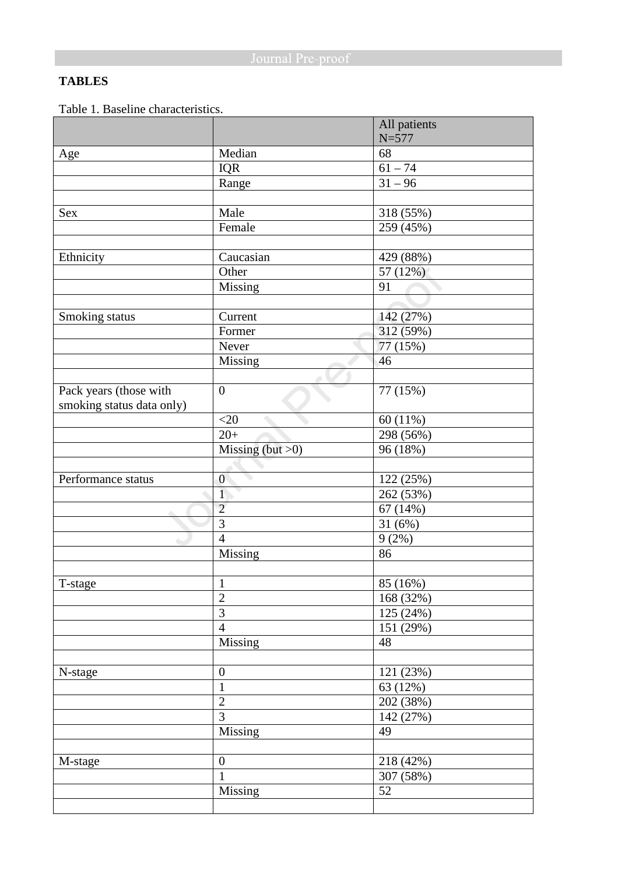## **TABLES**

Table 1. Baseline characteristics.

|                                                     |                     | All patients |
|-----------------------------------------------------|---------------------|--------------|
|                                                     |                     | $N = 577$    |
| Age                                                 | Median              | 68           |
|                                                     | IQR                 | $61 - 74$    |
|                                                     | Range               | $31 - 96$    |
|                                                     |                     |              |
| Sex                                                 | Male                | 318 (55%)    |
|                                                     | Female              | 259 (45%)    |
|                                                     |                     |              |
| Ethnicity                                           | Caucasian           | 429 (88%)    |
|                                                     | Other               | 57 (12%)     |
|                                                     | Missing             | 91           |
|                                                     |                     |              |
| Smoking status                                      | Current             | 142 (27%)    |
|                                                     | Former              | 312 (59%)    |
|                                                     | Never               | 77 (15%)     |
|                                                     | Missing             | 46           |
|                                                     |                     |              |
| Pack years (those with<br>smoking status data only) | $\boldsymbol{0}$    | 77 (15%)     |
|                                                     | $<$ 20              | 60(11%)      |
|                                                     | $20+$               | 298 (56%)    |
|                                                     | Missing (but $>0$ ) | 96 (18%)     |
|                                                     |                     |              |
| Performance status                                  | $\overline{0}$      | 122 (25%)    |
|                                                     | $\overline{1}$      | 262 (53%)    |
|                                                     | $\overline{2}$      | 67(14%)      |
|                                                     | 3                   | 31(6%)       |
| ۰                                                   | $\overline{4}$      | 9(2%)        |
|                                                     | Missing             | 86           |
|                                                     |                     |              |
| T-stage                                             | $\mathbf{1}$        | 85(16%)      |
|                                                     | $\overline{c}$      | 168 (32%)    |
|                                                     | $\overline{3}$      | 125 (24%)    |
|                                                     | $\overline{4}$      | 151 (29%)    |
|                                                     | Missing             | 48           |
|                                                     |                     |              |
| N-stage                                             | $\boldsymbol{0}$    | 121 (23%)    |
|                                                     | $\mathbf{1}$        | 63 (12%)     |
|                                                     | $\overline{2}$      | 202 (38%)    |
|                                                     | $\overline{3}$      | 142 (27%)    |
|                                                     | Missing             | 49           |
|                                                     |                     |              |
| M-stage                                             | $\boldsymbol{0}$    | 218 (42%)    |
|                                                     | $\mathbf{1}$        | 307 (58%)    |
|                                                     | Missing             | 52           |
|                                                     |                     |              |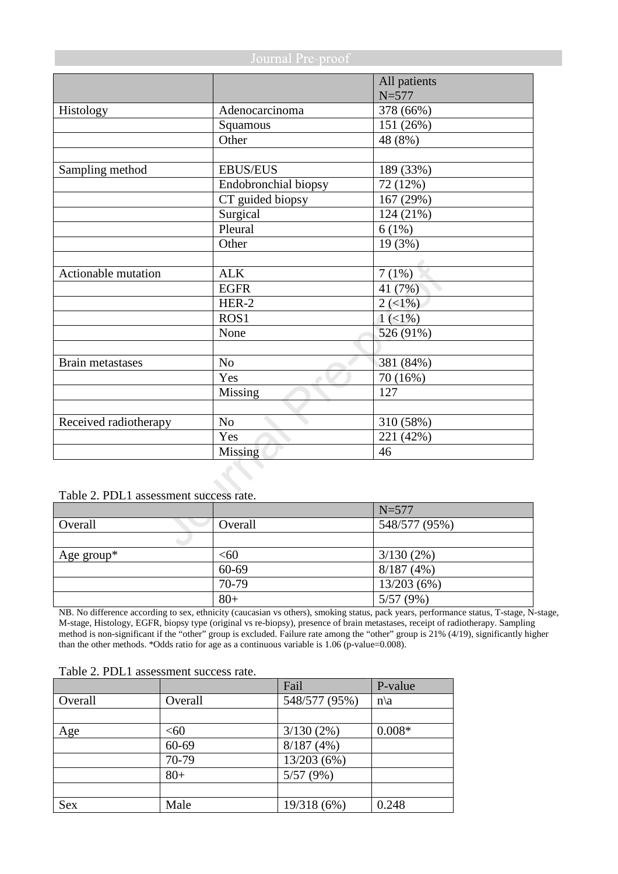| Journal Pre-proof       |                      |                           |  |
|-------------------------|----------------------|---------------------------|--|
|                         |                      | All patients<br>$N = 577$ |  |
| Histology               | Adenocarcinoma       | 378 (66%)                 |  |
|                         | Squamous             | 151 (26%)                 |  |
|                         | Other                | 48 (8%)                   |  |
|                         |                      |                           |  |
| Sampling method         | <b>EBUS/EUS</b>      | 189 (33%)                 |  |
|                         | Endobronchial biopsy | 72 (12%)                  |  |
|                         | CT guided biopsy     | 167 (29%)                 |  |
|                         | Surgical             | 124 (21%)                 |  |
|                         | Pleural              | 6(1%)                     |  |
|                         | Other                | 19 (3%)                   |  |
|                         |                      |                           |  |
| Actionable mutation     | <b>ALK</b>           | 7(1%)                     |  |
|                         | <b>EGFR</b>          | 41 (7%)                   |  |
|                         | HER-2                | $2(1\%)$                  |  |
|                         | ROS <sub>1</sub>     | $1(1\%)$                  |  |
|                         | None                 | 526 (91%)                 |  |
|                         |                      |                           |  |
| <b>Brain metastases</b> | N <sub>o</sub>       | 381 (84%)                 |  |
|                         | Yes                  | 70 (16%)                  |  |
|                         | Missing              | 127                       |  |
|                         |                      |                           |  |
| Received radiotherapy   | N <sub>o</sub>       | 310 (58%)                 |  |
|                         | Yes                  | 221 (42%)                 |  |
|                         | Missing              | 46                        |  |

Table 2. PDL1 assessment success rate.

|            |         | $N = 577$     |
|------------|---------|---------------|
| Overall    | Overall | 548/577 (95%) |
|            |         |               |
| Age group* | <60     | 3/130(2%)     |
|            | 60-69   | 8/187(4%)     |
|            | 70-79   | 13/203(6%)    |
|            | $80+$   | 5/57(9%)      |

NB. No difference according to sex, ethnicity (caucasian vs others), smoking status, pack years, performance status, T-stage, N-stage, M-stage, Histology, EGFR, biopsy type (original vs re-biopsy), presence of brain metastases, receipt of radiotherapy. Sampling method is non-significant if the "other" group is excluded. Failure rate among the "other" group is 21% (4/19), significantly higher than the other methods. \*Odds ratio for age as a continuous variable is 1.06 (p-value=0.008).

|            |         | Fail          | P-value         |
|------------|---------|---------------|-----------------|
| Overall    | Overall | 548/577 (95%) | $n\backslash a$ |
|            |         |               |                 |
| Age        | < 60    | $3/130(2\%)$  | $0.008*$        |
|            | 60-69   | 8/187(4%)     |                 |
|            | 70-79   | 13/203(6%)    |                 |
|            | $80+$   | 5/57(9%)      |                 |
|            |         |               |                 |
| <b>Sex</b> | Male    | 19/318 (6%)   | 0.248           |

Table 2. PDL1 assessment success rate.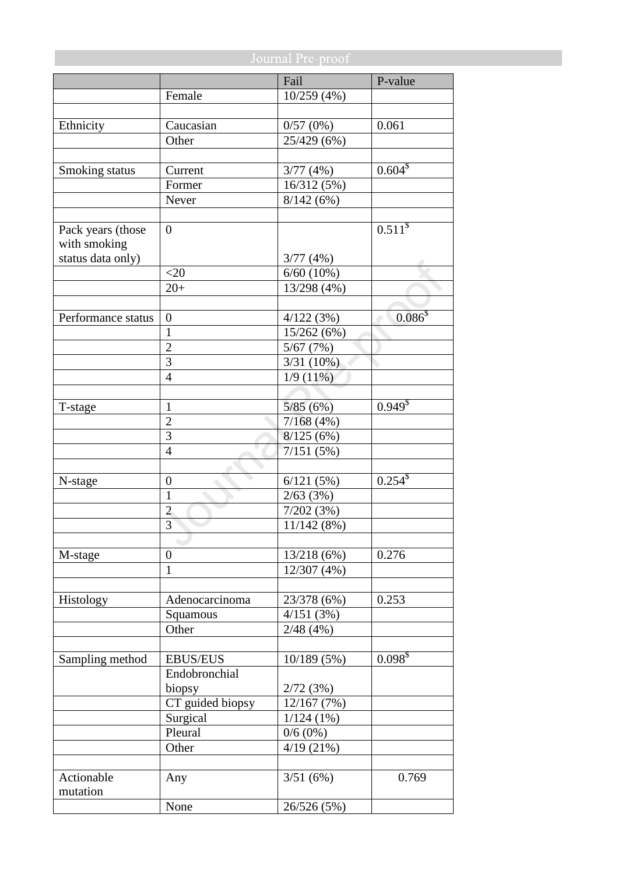|                    | Journal Pre-proof |                |                       |  |
|--------------------|-------------------|----------------|-----------------------|--|
|                    |                   | Fail           | P-value               |  |
|                    | Female            | 10/259(4%)     |                       |  |
|                    |                   |                |                       |  |
| Ethnicity          | Caucasian         | 0/57(0%)       | 0.061                 |  |
|                    | Other             | 25/429 (6%)    |                       |  |
|                    |                   |                |                       |  |
| Smoking status     | Current           | 3/77(4%)       | $0.604$ <sup>\$</sup> |  |
|                    | Former            | 16/312 (5%)    |                       |  |
|                    | Never             | 8/142(6%)      |                       |  |
|                    |                   |                |                       |  |
| Pack years (those  | $\overline{0}$    |                | 0.511 <sup>§</sup>    |  |
| with smoking       |                   |                |                       |  |
| status data only)  |                   | 3/77(4%)       |                       |  |
|                    | $<$ 20            | $6/60$ $(10%)$ |                       |  |
|                    | $20+$             | 13/298 (4%)    |                       |  |
|                    |                   |                |                       |  |
| Performance status | $\overline{0}$    | 4/122(3%)      | $0.086^{5}$           |  |
|                    | $\mathbf{1}$      | 15/262 (6%)    |                       |  |
|                    | $\overline{2}$    | 5/67(7%)       |                       |  |
|                    | 3                 | 3/31(10%)      |                       |  |
|                    | $\overline{4}$    | 1/9(11%)       |                       |  |
|                    |                   |                |                       |  |
| T-stage            | 1                 | 5/85(6%)       | $0.949^{8}$           |  |
|                    | $\overline{2}$    | 7/168(4%)      |                       |  |
|                    | 3                 | 8/125(6%)      |                       |  |
|                    | 4                 | 7/151(5%)      |                       |  |
|                    |                   |                |                       |  |
| N-stage            | $\boldsymbol{0}$  | 6/121(5%)      | $0.254$ <sup>\$</sup> |  |
|                    | $\mathbf{1}$      | 2/63(3%)       |                       |  |
|                    | $\overline{2}$    | 7/202(3%)      |                       |  |
|                    | 3                 | 11/142(8%)     |                       |  |
|                    |                   |                |                       |  |
| M-stage            | $\boldsymbol{0}$  | 13/218(6%)     | 0.276                 |  |
|                    | $\mathbf{1}$      | 12/307 (4%)    |                       |  |
|                    |                   |                |                       |  |
| Histology          | Adenocarcinoma    | 23/378 (6%)    | 0.253                 |  |
|                    | Squamous          | 4/151(3%)      |                       |  |
|                    | Other             | 2/48(4%)       |                       |  |
|                    |                   |                |                       |  |
| Sampling method    | <b>EBUS/EUS</b>   | 10/189(5%)     | $0.098^{5}$           |  |
|                    | Endobronchial     |                |                       |  |
|                    | biopsy            | 2/72(3%)       |                       |  |
|                    | CT guided biopsy  | 12/167(7%)     |                       |  |
|                    | Surgical          | $1/124(1\%)$   |                       |  |
|                    | Pleural           | $0/6(0\%)$     |                       |  |
|                    | Other             | 4/19(21%)      |                       |  |
|                    |                   |                |                       |  |
| Actionable         | Any               | 3/51(6%)       | 0.769                 |  |
| mutation           |                   |                |                       |  |
|                    | None              | 26/526 (5%)    |                       |  |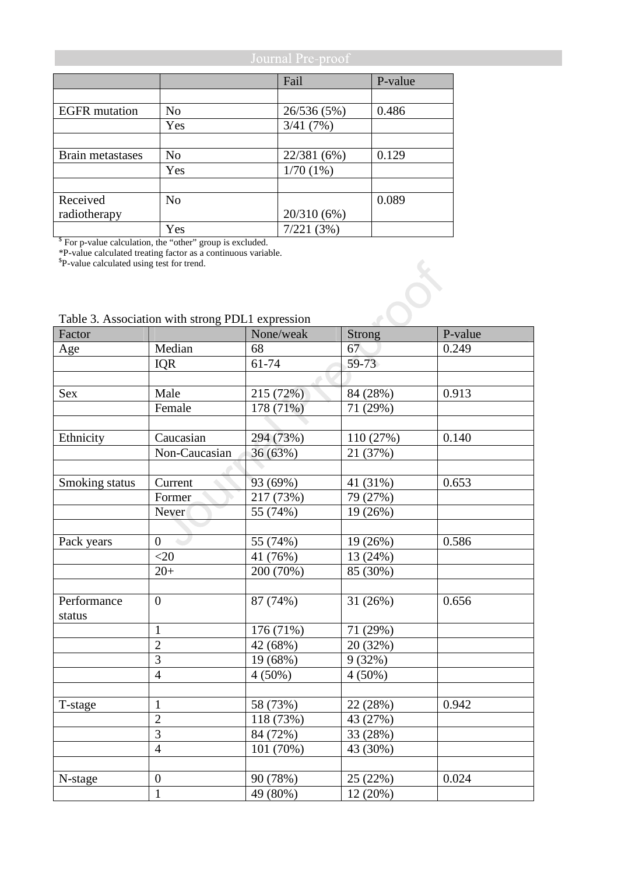|                                                                       | Journal Pre-proof |             |         |  |
|-----------------------------------------------------------------------|-------------------|-------------|---------|--|
|                                                                       |                   | Fail        | P-value |  |
|                                                                       |                   |             |         |  |
| <b>EGFR</b> mutation                                                  | N <sub>o</sub>    | 26/536 (5%) | 0.486   |  |
|                                                                       | Yes               | 3/41(7%)    |         |  |
|                                                                       |                   |             |         |  |
| <b>Brain metastases</b>                                               | N <sub>0</sub>    | 22/381 (6%) | 0.129   |  |
|                                                                       | Yes               | 1/70(1%)    |         |  |
|                                                                       |                   |             |         |  |
| Received                                                              | N <sub>o</sub>    |             | 0.089   |  |
| radiotherapy                                                          |                   | 20/310(6%)  |         |  |
|                                                                       | Yes               | 7/221(3%)   |         |  |
| <sup>\$</sup> For p-value calculation, the "other" group is excluded. |                   |             |         |  |

\*P-value calculated treating factor as a continuous variable. \$ P-value calculated using test for trend.

## Table 3. Association with strong PDL1 expression

| Factor         |                  | None/weak | <b>Strong</b>   | P-value |
|----------------|------------------|-----------|-----------------|---------|
| Age            | Median           | 68        | 67 <sup>°</sup> | 0.249   |
|                | <b>IQR</b>       | $61 - 74$ | $59-73$         |         |
|                |                  |           |                 |         |
| <b>Sex</b>     | Male             | 215 (72%) | 84 (28%)        | 0.913   |
|                | Female           | 178 (71%) | 71 (29%)        |         |
|                |                  |           |                 |         |
| Ethnicity      | Caucasian        | 294 (73%) | 110 (27%)       | 0.140   |
|                | Non-Caucasian    | 36 (63%)  | 21 (37%)        |         |
|                |                  |           |                 |         |
| Smoking status | Current          | 93 (69%)  | 41 (31%)        | 0.653   |
|                | Former           | 217 (73%) | 79 (27%)        |         |
|                | Never            | 55 (74%)  | 19 (26%)        |         |
|                |                  |           |                 |         |
| Pack years     | $\overline{0}$   | 55 (74%)  | 19 (26%)        | 0.586   |
|                | $<$ 20           | 41 (76%)  | 13 (24%)        |         |
|                | $20+$            | 200 (70%) | 85 (30%)        |         |
|                |                  |           |                 |         |
| Performance    | $\overline{0}$   | 87 (74%)  | 31 (26%)        | 0.656   |
| status         |                  |           |                 |         |
|                | $\mathbf{1}$     | 176 (71%) | 71 (29%)        |         |
|                | $\overline{c}$   | 42 (68%)  | 20 (32%)        |         |
|                | $\overline{3}$   | 19 (68%)  | 9(32%)          |         |
|                | $\overline{4}$   | $4(50\%)$ | $4(50\%)$       |         |
|                |                  |           |                 |         |
| T-stage        | $\mathbf{1}$     | 58 (73%)  | 22 (28%)        | 0.942   |
|                | $\overline{2}$   | 118 (73%) | 43 (27%)        |         |
|                | $\overline{3}$   | 84 (72%)  | 33 (28%)        |         |
|                | $\overline{4}$   | 101 (70%) | 43 (30%)        |         |
|                |                  |           |                 |         |
| N-stage        | $\boldsymbol{0}$ | 90 (78%)  | 25 (22%)        | 0.024   |
|                | $\mathbf{1}$     | 49 (80%)  | 12 (20%)        |         |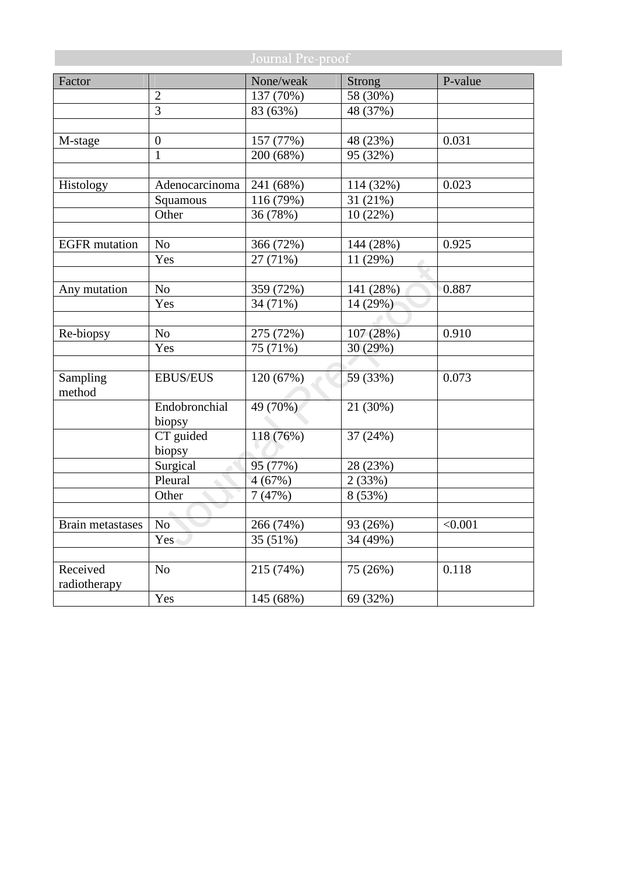| Journal Pre-proof    |                  |           |               |         |
|----------------------|------------------|-----------|---------------|---------|
| Factor               |                  | None/weak | <b>Strong</b> | P-value |
|                      | $\overline{2}$   | 137 (70%) | 58 (30%)      |         |
|                      | $\overline{3}$   | 83 (63%)  | 48 (37%)      |         |
|                      |                  |           |               |         |
| M-stage              | $\boldsymbol{0}$ | 157 (77%) | 48 (23%)      | 0.031   |
|                      | $\mathbf{1}$     | 200 (68%) | 95 (32%)      |         |
|                      |                  |           |               |         |
| Histology            | Adenocarcinoma   | 241 (68%) | 114 (32%)     | 0.023   |
|                      | Squamous         | 116 (79%) | 31 (21%)      |         |
|                      | Other            | 36 (78%)  | 10(22%)       |         |
|                      |                  |           |               |         |
| <b>EGFR</b> mutation | N <sub>o</sub>   | 366 (72%) | 144 (28%)     | 0.925   |
|                      | Yes              | 27 (71%)  | 11 (29%)      |         |
|                      |                  |           |               |         |
| Any mutation         | No               | 359 (72%) | 141 (28%)     | 0.887   |
|                      | Yes              | 34 (71%)  | 14 (29%)      |         |
|                      |                  |           |               |         |
| Re-biopsy            | No               | 275 (72%) | 107(28%)      | 0.910   |
|                      | Yes              | 75 (71%)  | 30 (29%)      |         |
|                      |                  |           |               |         |
| Sampling<br>method   | <b>EBUS/EUS</b>  | 120 (67%) | 59 (33%)      | 0.073   |
|                      | Endobronchial    | 49 (70%)  | 21 (30%)      |         |
|                      | biopsy           |           |               |         |
|                      | CT guided        | 118 (76%) | 37 (24%)      |         |
|                      | biopsy           |           |               |         |
|                      | Surgical         | 95 (77%)  | 28 (23%)      |         |
|                      | Pleural          | 4(67%)    | 2(33%)        |         |
|                      | Other            | 7(47%)    | 8 (53%)       |         |
|                      | ۰                |           |               |         |
| Brain metastases     | N <sub>o</sub>   | 266 (74%) | 93 (26%)      | < 0.001 |
|                      | Yes              | 35 (51%)  | 34 (49%)      |         |
|                      |                  |           |               |         |
| Received             | No               | 215 (74%) | 75 (26%)      | 0.118   |
| radiotherapy         |                  |           |               |         |
|                      | Yes              | 145 (68%) | 69 (32%)      |         |